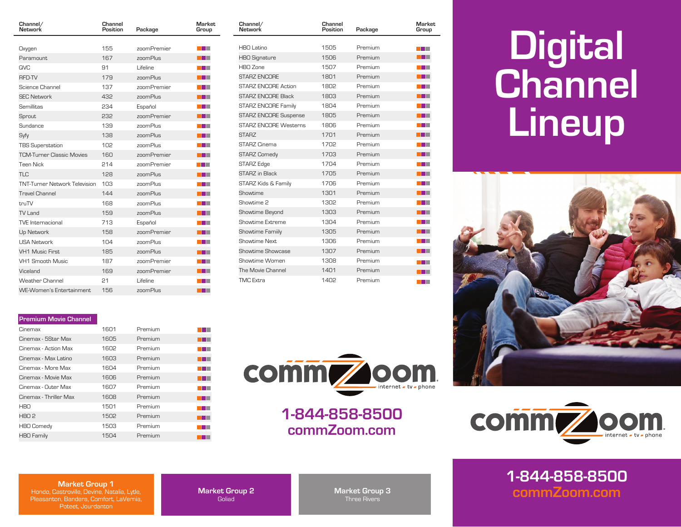| Channel/<br>Network                  | Channel<br>Position | Package     | Market<br>Group |
|--------------------------------------|---------------------|-------------|-----------------|
|                                      |                     |             |                 |
| Oxygen                               | 155                 | zoomPremier |                 |
| Paramount                            | 167                 | zoomPlus    |                 |
| <b>QVC</b>                           | 91                  | Lifeline    |                 |
| <b>RFD-TV</b>                        | 179                 | zoomPlus    |                 |
| Science Channel                      | 137                 | zoomPremier |                 |
| <b>SEC Network</b>                   | 432                 | zoomPlus    |                 |
| Semillitas                           | 234                 | Español     |                 |
| Sprout                               | 232                 | zoomPremier |                 |
| Sundance                             | 139                 | znomPlus    |                 |
| Syfy                                 | 138                 | zoomPlus    |                 |
| <b>TBS Superstation</b>              | 10 <sub>2</sub>     | zoomPlus    |                 |
| <b>TCM-Turner Classic Movies</b>     | 160                 | zoomPremier |                 |
| <b>Teen Nick</b>                     | 214                 | zoomPremier |                 |
| TI <sub>C</sub>                      | 128                 | zoomPlus    |                 |
| <b>TNT-Turner Network Television</b> | 103                 | znomPlus    |                 |
| <b>Travel Channel</b>                | 144                 | zoomPlus    |                 |
| truTV                                | 168                 | zoomPlus    |                 |
| TV I and                             | 159                 | zoomPlus    |                 |
| <b>TVE</b> Internacional             | 713                 | Español     |                 |
| Up Network                           | 158                 | zoomPremier |                 |
| <b>USA Network</b>                   | 104                 | znomPlus    |                 |
| <b>VH1 Music First</b>               | 185                 | zoomPlus    |                 |
| VH1 Smooth Music                     | 187                 | zoomPremier |                 |
| Viceland                             | 169                 | zoomPremier |                 |
| <b>Weather Channel</b>               | 21                  | Lifeline    |                 |
| <b>WE-Women's Entertainment</b>      | 156                 | zoomPlus    |                 |

| Market<br>Group | Channel/<br>Network          | Channel<br>Position | Package | Market<br>Group                     |
|-----------------|------------------------------|---------------------|---------|-------------------------------------|
|                 | HBO Latino                   | 1505                | Premium |                                     |
|                 |                              | 1506                | Premium | a kacamatan ing Kabupatén Kabupatén |
| <b>TIME</b>     | <b>HBO Signature</b>         |                     |         |                                     |
| <b>TIME</b>     | HRO Zone                     | 1507                | Premium | a kacamatan ing Kabupatén Kabupatén |
|                 | <b>STARZ ENCORE</b>          | 1801                | Premium |                                     |
|                 | STARZ ENCORE Action          | 1802                | Premium |                                     |
| T               | <b>STARZ ENCORE Black</b>    | 1803                | Premium |                                     |
| n i s           | <b>STARZ ENCORE Family</b>   | 1804                | Premium | المال                               |
|                 | <b>STARZ ENCORE Suspense</b> | 1805                | Premium |                                     |
| المنازل         | <b>STARZ ENCORE Westerns</b> | 1806                | Premium |                                     |
| a katika        | STARZ                        | 1701                | Premium | a sa T                              |
| <b>TIME</b>     | STARZ Cinema                 | 1702                | Premium |                                     |
|                 | <b>STARZ Comedy</b>          | 1703                | Premium |                                     |
|                 | <b>STARZ Edge</b>            | 1704                | Premium |                                     |
|                 | STARZ in Black               | 1705                | Premium |                                     |
| المالي          | STARZ Kids & Family          | 1706                | Premium | T.                                  |
|                 | Showtime                     | 1301                | Premium |                                     |
|                 | Showtime 2                   | 1302                | Premium |                                     |
| ⊤               | Showtime Beyond              | 1303                | Premium | T                                   |
| n ji            | Showtime Extreme             | 1304                | Premium |                                     |
|                 | Showtime Family              | 1305                | Premium |                                     |
| ا ا             | Showtime Next                | 1306                | Premium |                                     |
|                 | Showtime Showcase            | 1307                | Premium |                                     |
| T E             | Showtime Women               | 1308                | Premium |                                     |
|                 | The Movie Channel            | 1401                | Premium | a prim                              |
| a prim          | <b>TMC Extra</b>             | 1402                | Premium |                                     |

## **Digital Channel Lineup**



## **Premium Movie Channel**

| Cinemax                | 1601 | Premium |  |
|------------------------|------|---------|--|
| Cinemax - 5Star Max    | 1605 | Premium |  |
| Cinemax - Action Max   | 1602 | Premium |  |
| Cinemax - Max Latino   | 1603 | Premium |  |
| Cinemax - More Max     | 1604 | Premium |  |
| Cinemax - Movie Max    | 1606 | Premium |  |
| Cinemax - Outer Max    | 1607 | Premium |  |
| Cinemax - Thriller Max | 1608 | Premium |  |
| <b>HBO</b>             | 1501 | Premium |  |
| HBO <sub>2</sub>       | 1502 | Premium |  |
| <b>HBO Comedy</b>      | 1503 | Premium |  |
| <b>HBO Family</b>      | 1504 | Premium |  |



**1-844-858-8500 commZoom.com**



**1-844-858-8500 commZoom.com**

## **Market Group 1**

Hondo, Castroville, Devine, Natalia, Lytle, Pleasanton, Bandera, Comfort, LaVernia, Poteet, Jourdanton

**Market Group 2 Goliad** 

**Market Group 3** Three Rivers